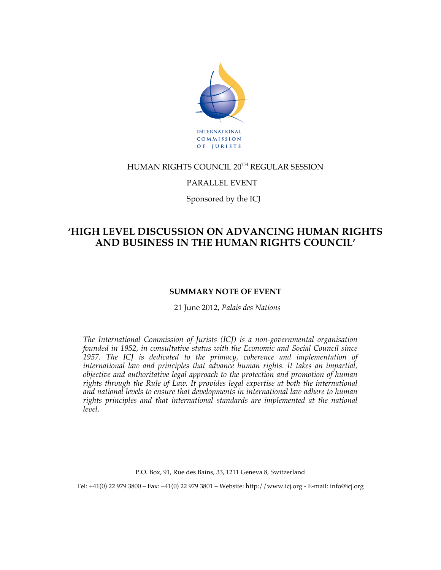

## HUMAN RIGHTS COUNCIL 20TH REGULAR SESSION

### PARALLEL EVENT

Sponsored by the ICJ

# **'HIGH LEVEL DISCUSSION ON ADVANCING HUMAN RIGHTS AND BUSINESS IN THE HUMAN RIGHTS COUNCIL'**

### **SUMMARY NOTE OF EVENT**

21 June 2012, *Palais des Nations*

*The International Commission of Jurists (ICJ) is a non-governmental organisation founded in 1952, in consultative status with the Economic and Social Council since 1957. The ICJ is dedicated to the primacy, coherence and implementation of international law and principles that advance human rights. It takes an impartial, objective and authoritative legal approach to the protection and promotion of human rights through the Rule of Law. It provides legal expertise at both the international and national levels to ensure that developments in international law adhere to human rights principles and that international standards are implemented at the national level.*

P.O. Box, 91, Rue des Bains, 33, 1211 Geneva 8, Switzerland

Tel: +41(0) 22 979 3800 – Fax: +41(0) 22 979 3801 – Website: http://www.icj.org - E-mail: info@icj.org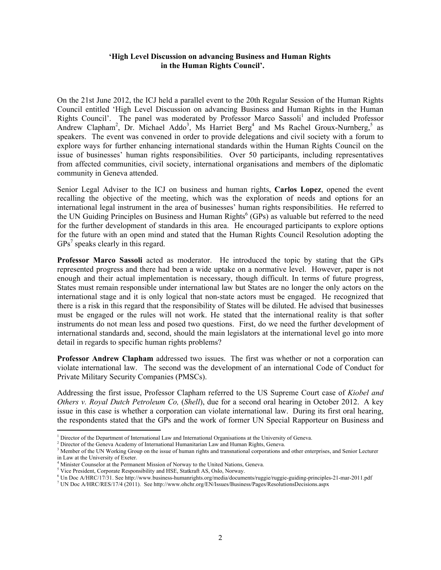#### **'High Level Discussion on advancing Business and Human Rights in the Human Rights Council'.**

On the 21st June 2012, the ICJ held a parallel event to the 20th Regular Session of the Human Rights Council entitled 'High Level Discussion on advancing Business and Human Rights in the Human Rights Council'. The panel was moderated by Professor Marco Sassoli<sup>1</sup> and included Professor Andrew Clapham<sup>2</sup>, Dr. Michael Addo<sup>3</sup>, Ms Harriet Berg<sup>4</sup> and Ms Rachel Groux-Nurnberg,<sup>5</sup> as speakers. The event was convened in order to provide delegations and civil society with a forum to explore ways for further enhancing international standards within the Human Rights Council on the issue of businesses' human rights responsibilities. Over 50 participants, including representatives from affected communities, civil society, international organisations and members of the diplomatic community in Geneva attended.

Senior Legal Adviser to the ICJ on business and human rights, **Carlos Lopez**, opened the event recalling the objective of the meeting, which was the exploration of needs and options for an international legal instrument in the area of businesses' human rights responsibilities. He referred to the UN Guiding Principles on Business and Human Rights<sup>6</sup> (GPs) as valuable but referred to the need for the further development of standards in this area. He encouraged participants to explore options for the future with an open mind and stated that the Human Rights Council Resolution adopting the  $GPs<sup>7</sup>$  speaks clearly in this regard.

**Professor Marco Sassoli** acted as moderator. He introduced the topic by stating that the GPs represented progress and there had been a wide uptake on a normative level. However, paper is not enough and their actual implementation is necessary, though difficult. In terms of future progress, States must remain responsible under international law but States are no longer the only actors on the international stage and it is only logical that non-state actors must be engaged. He recognized that there is a risk in this regard that the responsibility of States will be diluted. He advised that businesses must be engaged or the rules will not work. He stated that the international reality is that softer instruments do not mean less and posed two questions. First, do we need the further development of international standards and, second, should the main legislators at the international level go into more detail in regards to specific human rights problems?

**Professor Andrew Clapham** addressed two issues. The first was whether or not a corporation can violate international law. The second was the development of an international Code of Conduct for Private Military Security Companies (PMSCs).

Addressing the first issue, Professor Clapham referred to the US Supreme Court case of *Kiobel and Others v. Royal Dutch Petroleum Co,* (*Shell*), due for a second oral hearing in October 2012. A key issue in this case is whether a corporation can violate international law. During its first oral hearing, the respondents stated that the GPs and the work of former UN Special Rapporteur on Business and

 $\overline{a}$ 

<sup>&</sup>lt;sup>1</sup> Director of the Department of International Law and International Organisations at the University of Geneva.

<sup>&</sup>lt;sup>2</sup> Director of the Geneva Academy of International Humanitarian Law and Human Rights, Geneva.

<sup>&</sup>lt;sup>3</sup> Member of the UN Working Group on the issue of human rights and transnational corporations and other enterprises, and Senior Lecturer in Law at the University of Exeter.

<sup>4</sup> Minister Counselor at the Permanent Mission of Norway to the United Nations, Geneva.

<sup>&</sup>lt;sup>5</sup> Vice President, Corporate Responsibility and HSE, Statkraft AS, Oslo, Norway.

<sup>6</sup> Un Doc A/HRC/17/31. See http://www.business-humanrights.org/media/documents/ruggie/ruggie-guiding-principles-21-mar-2011.pdf

<sup>7</sup> UN Doc A/HRC/RES/17/4 (2011). See http://www.ohchr.org/EN/Issues/Business/Pages/ResolutionsDecisions.aspx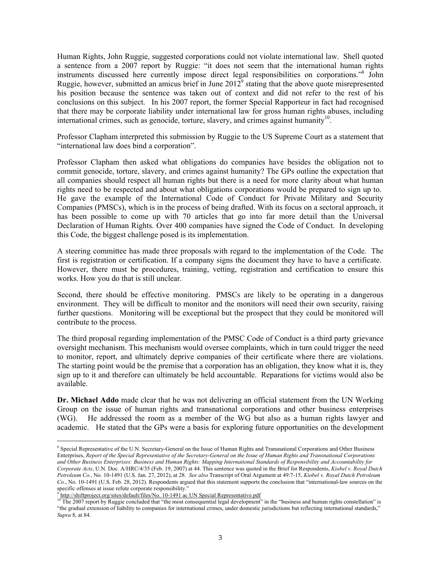Human Rights, John Ruggie, suggested corporations could not violate international law. Shell quoted a sentence from a 2007 report by Ruggie: "it does not seem that the international human rights instruments discussed here currently impose direct legal responsibilities on corporations."<sup>8</sup> John Ruggie, however, submitted an amicus brief in June  $2012^9$  stating that the above quote misrepresented his position because the sentence was taken out of context and did not refer to the rest of his conclusions on this subject. In his 2007 report, the former Special Rapporteur in fact had recognised that there may be corporate liability under international law for gross human rights abuses, including international crimes, such as genocide, torture, slavery, and crimes against humanity $10$ .

Professor Clapham interpreted this submission by Ruggie to the US Supreme Court as a statement that "international law does bind a corporation".

Professor Clapham then asked what obligations do companies have besides the obligation not to commit genocide, torture, slavery, and crimes against humanity? The GPs outline the expectation that all companies should respect all human rights but there is a need for more clarity about what human rights need to be respected and about what obligations corporations would be prepared to sign up to. He gave the example of the International Code of Conduct for Private Military and Security Companies (PMSCs), which is in the process of being drafted. With its focus on a sectoral approach, it has been possible to come up with 70 articles that go into far more detail than the Universal Declaration of Human Rights. Over 400 companies have signed the Code of Conduct. In developing this Code, the biggest challenge posed is its implementation.

A steering committee has made three proposals with regard to the implementation of the Code. The first is registration or certification. If a company signs the document they have to have a certificate. However, there must be procedures, training, vetting, registration and certification to ensure this works. How you do that is still unclear.

Second, there should be effective monitoring. PMSCs are likely to be operating in a dangerous environment. They will be difficult to monitor and the monitors will need their own security, raising further questions. Monitoring will be exceptional but the prospect that they could be monitored will contribute to the process.

The third proposal regarding implementation of the PMSC Code of Conduct is a third party grievance oversight mechanism. This mechanism would oversee complaints, which in turn could trigger the need to monitor, report, and ultimately deprive companies of their certificate where there are violations. The starting point would be the premise that a corporation has an obligation, they know what it is, they sign up to it and therefore can ultimately be held accountable. Reparations for victims would also be available.

**Dr. Michael Addo** made clear that he was not delivering an official statement from the UN Working Group on the issue of human rights and transnational corporations and other business enterprises (WG). He addressed the room as a member of the WG but also as a human rights lawyer and academic. He stated that the GPs were a basis for exploring future opportunities on the development

 $\overline{a}$ 

<sup>8</sup> Special Representative of the U.N. Secretary-General on the Issue of Human Rights and Transnational Corporations and Other Business Enterprises, *Report of the Special Representative of the Secretary-General on the Issue of Human Rights and Transnational Corporations and Other Business Enterprises: Business and Human Rights: Mapping International Standards of Responsibility and Accountability for Corporate Acts*, U.N. Doc. A/HRC/4/35 (Feb. 19, 2007) at 44. This sentence was quoted in the Brief for Respondents, *Kiobel v. Royal Dutch Petroleum Co.*, No. 10-1491 (U.S. Jan. 27, 2012), at 28. *See also* Transcript of Oral Argument at 49:7-15, *Kiobel v. Royal Dutch Petroleum Co.*, No. 10-1491 (U.S. Feb. 28, 2012). Respondents argued that this statement supports the conclusion that "international-law sources on the specific offenses at issue refute corporate responsibility."<br><sup>9</sup> http://shiftproject.org/sites/default/files/No. 10-1491 ac UN Special Representative.pdf<br><sup>10</sup> The 2007 report by Buscial Representative.pdf

<sup>10</sup> The 2007 report by Ruggie concluded that "the most consequential legal development" in the "business and human rights constellation" is "the gradual extension of liability to companies for international crimes, under domestic jurisdictions but reflecting international standards," *Supra* 8, at 84.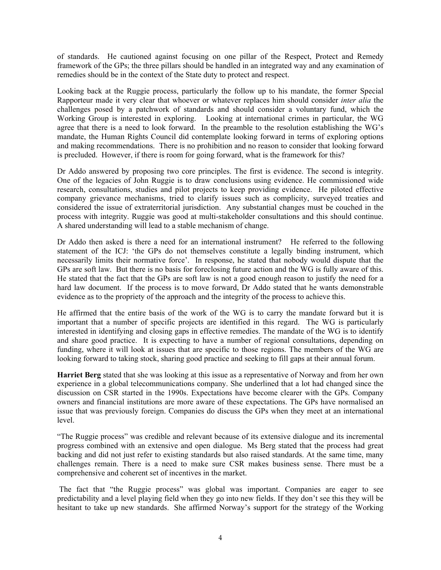of standards. He cautioned against focusing on one pillar of the Respect, Protect and Remedy framework of the GPs; the three pillars should be handled in an integrated way and any examination of remedies should be in the context of the State duty to protect and respect.

Looking back at the Ruggie process, particularly the follow up to his mandate, the former Special Rapporteur made it very clear that whoever or whatever replaces him should consider *inter alia* the challenges posed by a patchwork of standards and should consider a voluntary fund, which the Working Group is interested in exploring. Looking at international crimes in particular, the WG agree that there is a need to look forward. In the preamble to the resolution establishing the WG's mandate, the Human Rights Council did contemplate looking forward in terms of exploring options and making recommendations. There is no prohibition and no reason to consider that looking forward is precluded. However, if there is room for going forward, what is the framework for this?

Dr Addo answered by proposing two core principles. The first is evidence. The second is integrity. One of the legacies of John Ruggie is to draw conclusions using evidence. He commissioned wide research, consultations, studies and pilot projects to keep providing evidence. He piloted effective company grievance mechanisms, tried to clarify issues such as complicity, surveyed treaties and considered the issue of extraterritorial jurisdiction. Any substantial changes must be couched in the process with integrity. Ruggie was good at multi-stakeholder consultations and this should continue. A shared understanding will lead to a stable mechanism of change.

Dr Addo then asked is there a need for an international instrument? He referred to the following statement of the ICJ: 'the GPs do not themselves constitute a legally binding instrument, which necessarily limits their normative force'. In response, he stated that nobody would dispute that the GPs are soft law. But there is no basis for foreclosing future action and the WG is fully aware of this. He stated that the fact that the GPs are soft law is not a good enough reason to justify the need for a hard law document. If the process is to move forward, Dr Addo stated that he wants demonstrable evidence as to the propriety of the approach and the integrity of the process to achieve this.

He affirmed that the entire basis of the work of the WG is to carry the mandate forward but it is important that a number of specific projects are identified in this regard. The WG is particularly interested in identifying and closing gaps in effective remedies. The mandate of the WG is to identify and share good practice. It is expecting to have a number of regional consultations, depending on funding, where it will look at issues that are specific to those regions. The members of the WG are looking forward to taking stock, sharing good practice and seeking to fill gaps at their annual forum.

**Harriet Berg** stated that she was looking at this issue as a representative of Norway and from her own experience in a global telecommunications company. She underlined that a lot had changed since the discussion on CSR started in the 1990s. Expectations have become clearer with the GPs. Company owners and financial institutions are more aware of these expectations. The GPs have normalised an issue that was previously foreign. Companies do discuss the GPs when they meet at an international level.

"The Ruggie process" was credible and relevant because of its extensive dialogue and its incremental progress combined with an extensive and open dialogue. Ms Berg stated that the process had great backing and did not just refer to existing standards but also raised standards. At the same time, many challenges remain. There is a need to make sure CSR makes business sense. There must be a comprehensive and coherent set of incentives in the market.

The fact that "the Ruggie process" was global was important. Companies are eager to see predictability and a level playing field when they go into new fields. If they don't see this they will be hesitant to take up new standards. She affirmed Norway's support for the strategy of the Working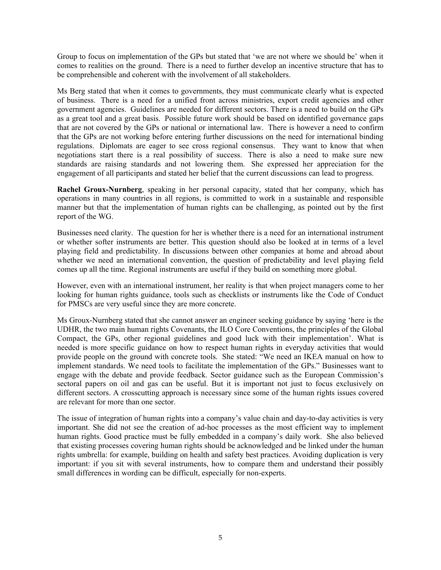Group to focus on implementation of the GPs but stated that 'we are not where we should be' when it comes to realities on the ground. There is a need to further develop an incentive structure that has to be comprehensible and coherent with the involvement of all stakeholders.

Ms Berg stated that when it comes to governments, they must communicate clearly what is expected of business. There is a need for a unified front across ministries, export credit agencies and other government agencies. Guidelines are needed for different sectors. There is a need to build on the GPs as a great tool and a great basis. Possible future work should be based on identified governance gaps that are not covered by the GPs or national or international law. There is however a need to confirm that the GPs are not working before entering further discussions on the need for international binding regulations. Diplomats are eager to see cross regional consensus. They want to know that when negotiations start there is a real possibility of success. There is also a need to make sure new standards are raising standards and not lowering them. She expressed her appreciation for the engagement of all participants and stated her belief that the current discussions can lead to progress.

**Rachel Groux-Nurnberg**, speaking in her personal capacity, stated that her company, which has operations in many countries in all regions, is committed to work in a sustainable and responsible manner but that the implementation of human rights can be challenging, as pointed out by the first report of the WG.

Businesses need clarity. The question for her is whether there is a need for an international instrument or whether softer instruments are better. This question should also be looked at in terms of a level playing field and predictability. In discussions between other companies at home and abroad about whether we need an international convention, the question of predictability and level playing field comes up all the time. Regional instruments are useful if they build on something more global.

However, even with an international instrument, her reality is that when project managers come to her looking for human rights guidance, tools such as checklists or instruments like the Code of Conduct for PMSCs are very useful since they are more concrete.

Ms Groux-Nurnberg stated that she cannot answer an engineer seeking guidance by saying 'here is the UDHR, the two main human rights Covenants, the ILO Core Conventions, the principles of the Global Compact, the GPs, other regional guidelines and good luck with their implementation'. What is needed is more specific guidance on how to respect human rights in everyday activities that would provide people on the ground with concrete tools. She stated: "We need an IKEA manual on how to implement standards. We need tools to facilitate the implementation of the GPs." Businesses want to engage with the debate and provide feedback. Sector guidance such as the European Commission's sectoral papers on oil and gas can be useful. But it is important not just to focus exclusively on different sectors. A crosscutting approach is necessary since some of the human rights issues covered are relevant for more than one sector.

The issue of integration of human rights into a company's value chain and day-to-day activities is very important. She did not see the creation of ad-hoc processes as the most efficient way to implement human rights. Good practice must be fully embedded in a company's daily work. She also believed that existing processes covering human rights should be acknowledged and be linked under the human rights umbrella: for example, building on health and safety best practices. Avoiding duplication is very important: if you sit with several instruments, how to compare them and understand their possibly small differences in wording can be difficult, especially for non-experts.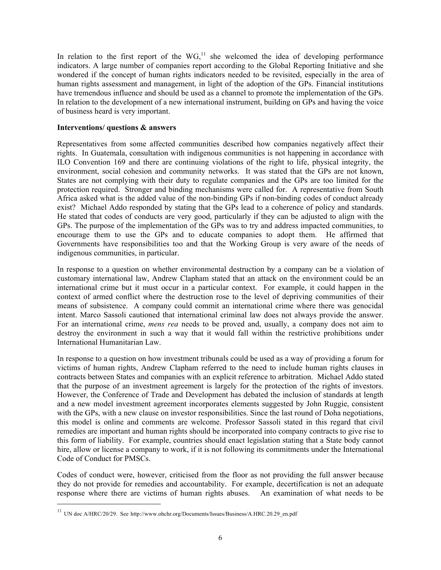In relation to the first report of the  $WG<sub>1</sub><sup>11</sup>$  she welcomed the idea of developing performance indicators. A large number of companies report according to the Global Reporting Initiative and she wondered if the concept of human rights indicators needed to be revisited, especially in the area of human rights assessment and management, in light of the adoption of the GPs. Financial institutions have tremendous influence and should be used as a channel to promote the implementation of the GPs. In relation to the development of a new international instrument, building on GPs and having the voice of business heard is very important.

#### **Interventions/ questions & answers**

Representatives from some affected communities described how companies negatively affect their rights. In Guatemala, consultation with indigenous communities is not happening in accordance with ILO Convention 169 and there are continuing violations of the right to life, physical integrity, the environment, social cohesion and community networks. It was stated that the GPs are not known, States are not complying with their duty to regulate companies and the GPs are too limited for the protection required. Stronger and binding mechanisms were called for. A representative from South Africa asked what is the added value of the non-binding GPs if non-binding codes of conduct already exist? Michael Addo responded by stating that the GPs lead to a coherence of policy and standards. He stated that codes of conducts are very good, particularly if they can be adjusted to align with the GPs. The purpose of the implementation of the GPs was to try and address impacted communities, to encourage them to use the GPs and to educate companies to adopt them. He affirmed that Governments have responsibilities too and that the Working Group is very aware of the needs of indigenous communities, in particular.

In response to a question on whether environmental destruction by a company can be a violation of customary international law, Andrew Clapham stated that an attack on the environment could be an international crime but it must occur in a particular context. For example, it could happen in the context of armed conflict where the destruction rose to the level of depriving communities of their means of subsistence. A company could commit an international crime where there was genocidal intent. Marco Sassoli cautioned that international criminal law does not always provide the answer. For an international crime, *mens rea* needs to be proved and, usually, a company does not aim to destroy the environment in such a way that it would fall within the restrictive prohibitions under International Humanitarian Law.

In response to a question on how investment tribunals could be used as a way of providing a forum for victims of human rights, Andrew Clapham referred to the need to include human rights clauses in contracts between States and companies with an explicit reference to arbitration. Michael Addo stated that the purpose of an investment agreement is largely for the protection of the rights of investors. However, the Conference of Trade and Development has debated the inclusion of standards at length and a new model investment agreement incorporates elements suggested by John Ruggie, consistent with the GPs, with a new clause on investor responsibilities. Since the last round of Doha negotiations, this model is online and comments are welcome. Professor Sassoli stated in this regard that civil remedies are important and human rights should be incorporated into company contracts to give rise to this form of liability. For example, countries should enact legislation stating that a State body cannot hire, allow or license a company to work, if it is not following its commitments under the International Code of Conduct for PMSCs.

Codes of conduct were, however, criticised from the floor as not providing the full answer because they do not provide for remedies and accountability. For example, decertification is not an adequate response where there are victims of human rights abuses. An examination of what needs to be

<sup>&</sup>lt;sup>11</sup> UN doc A/HRC/20/29. See http://www.ohchr.org/Documents/Issues/Business/A.HRC.20.29\_en.pdf